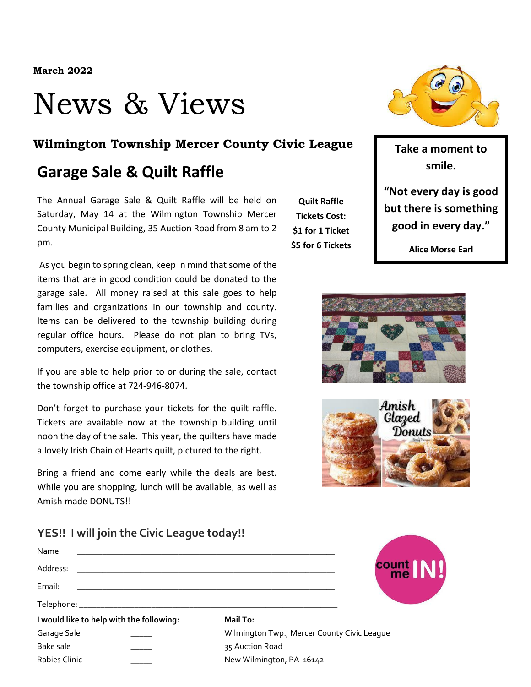## News & Views

#### **Wilmington Township Mercer County Civic League** Take a moment to

#### **Garage Sale & Quilt Raffle**

The Annual Garage Sale & Quilt Raffle will be held on Saturday, May 14 at the Wilmington Township Mercer County Municipal Building, 35 Auction Road from 8 am to 2 pm.

As you begin to spring clean, keep in mind that some of the items that are in good condition could be donated to the garage sale. All money raised at this sale goes to help families and organizations in our township and county. Items can be delivered to the township building during regular office hours. Please do not plan to bring TVs, computers, exercise equipment, or clothes.

If you are able to help prior to or during the sale, contact the township office at 724-946-8074.

Don't forget to purchase your tickets for the quilt raffle. Tickets are available now at the township building until noon the day of the sale. This year, the quilters have made a lovely Irish Chain of Hearts quilt, pictured to the right.

Bring a friend and come early while the deals are best. While you are shopping, lunch will be available, as well as Amish made DONUTS!!

**Quilt Raffle Tickets Cost: \$1 for 1 Ticket \$5 for 6 Tickets**



**smile.**

**"Not every day is good but there is something good in every day."**

**Alice Morse Earl**





| YES!! I will join the Civic League today!! |                                                                                                                      |                                             |             |  |
|--------------------------------------------|----------------------------------------------------------------------------------------------------------------------|---------------------------------------------|-------------|--|
| Name:                                      |                                                                                                                      |                                             |             |  |
| Address:                                   | <u> 1989 - Johann Barn, mars eta bainar eta bainar eta baina eta baina eta baina eta baina eta baina eta baina e</u> |                                             | count<br>me |  |
| Email:                                     |                                                                                                                      |                                             |             |  |
|                                            |                                                                                                                      |                                             |             |  |
| I would like to help with the following:   |                                                                                                                      | Mail To:                                    |             |  |
| Garage Sale                                |                                                                                                                      | Wilmington Twp., Mercer County Civic League |             |  |
| Bake sale                                  |                                                                                                                      | 35 Auction Road                             |             |  |
| Rabies Clinic                              |                                                                                                                      | New Wilmington, PA 16142                    |             |  |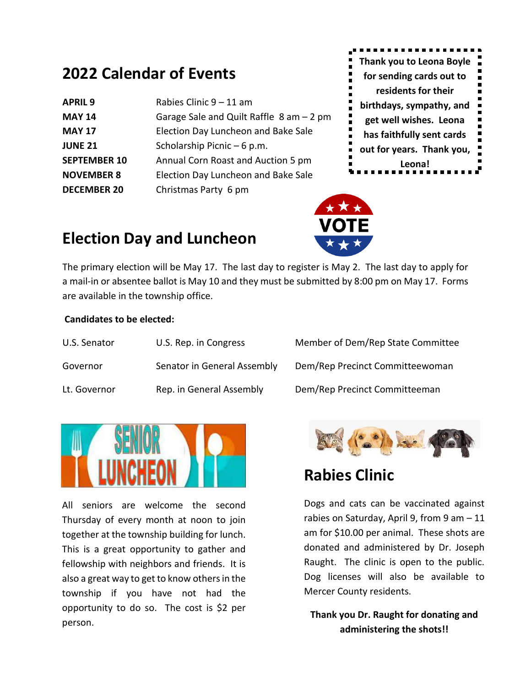### **2022 Calendar of Events**

| <b>APRIL 9</b>      | Rabies Clinic 9 - 11 am                     |  |
|---------------------|---------------------------------------------|--|
| <b>MAY 14</b>       | Garage Sale and Quilt Raffle $8$ am $-2$ pm |  |
| <b>MAY 17</b>       | Election Day Luncheon and Bake Sale         |  |
| <b>JUNE 21</b>      | Scholarship Picnic - 6 p.m.                 |  |
| <b>SEPTEMBER 10</b> | Annual Corn Roast and Auction 5 pm          |  |
| <b>NOVEMBER 8</b>   | Election Day Luncheon and Bake Sale         |  |
| <b>DECEMBER 20</b>  | Christmas Party 6 pm                        |  |



## **Election Day and Luncheon**

The primary election will be May 17. The last day to register is May 2. The last day to apply for a mail-in or absentee ballot is May 10 and they must be submitted by 8:00 pm on May 17. Forms are available in the township office.

#### **Candidates to be elected:**

| U.S. Senator | U.S. Rep. in Congress       | Member of Dem/Rep State Committee |
|--------------|-----------------------------|-----------------------------------|
| Governor     | Senator in General Assembly | Dem/Rep Precinct Committeewoman   |
| Lt. Governor | Rep. in General Assembly    | Dem/Rep Precinct Committeeman     |



All seniors are welcome the second Thursday of every month at noon to join together at the township building for lunch. This is a great opportunity to gather and fellowship with neighbors and friends. It is also a great way to get to know others in the township if you have not had the opportunity to do so. The cost is \$2 per person.



### **Rabies Clinic**

Dogs and cats can be vaccinated against rabies on Saturday, April 9, from 9 am – 11 am for \$10.00 per animal. These shots are donated and administered by Dr. Joseph Raught. The clinic is open to the public. Dog licenses will also be available to Mercer County residents.

**Thank you Dr. Raught for donating and administering the shots!!**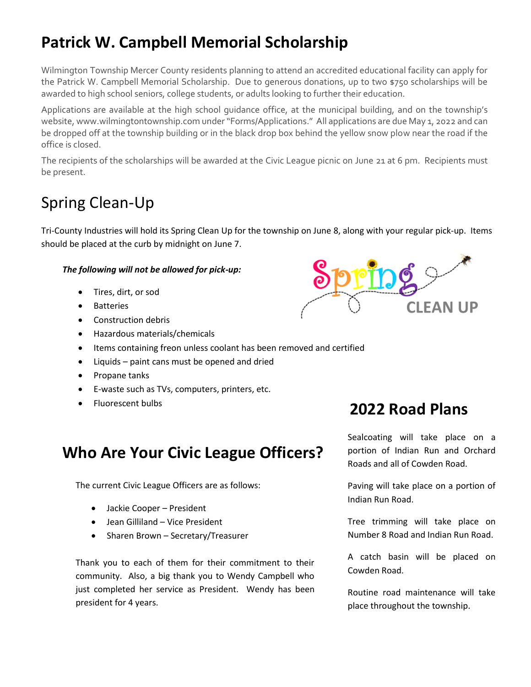## **Patrick W. Campbell Memorial Scholarship**

Wilmington Township Mercer County residents planning to attend an accredited educational facility can apply for the Patrick W. Campbell Memorial Scholarship. Due to generous donations, up to two \$750 scholarships will be awarded to high school seniors, college students, or adults looking to further their education.

Applications are available at the high school guidance office, at the municipal building, and on the township's website, www.wilmingtontownship.com under "Forms/Applications." All applications are due May 1, 2022 and can be dropped off at the township building or in the black drop box behind the yellow snow plow near the road if the office is closed.

The recipients of the scholarships will be awarded at the Civic League picnic on June 21 at 6 pm. Recipients must be present.

## Spring Clean-Up

Tri-County Industries will hold its Spring Clean Up for the township on June 8, along with your regular pick-up. Items should be placed at the curb by midnight on June 7.

#### *The following will not be allowed for pick-up:*

- Tires, dirt, or sod
- Batteries
- Construction debris
- Hazardous materials/chemicals
- Items containing freon unless coolant has been removed and certified
- Liquids paint cans must be opened and dried
- Propane tanks
- E-waste such as TVs, computers, printers, etc.
- Fluorescent bulbs

# **CLEAN UP**

## **Who Are Your Civic League Officers?**

The current Civic League Officers are as follows:

- Jackie Cooper President
- Jean Gilliland Vice President
- Sharen Brown Secretary/Treasurer

Thank you to each of them for their commitment to their community. Also, a big thank you to Wendy Campbell who just completed her service as President. Wendy has been president for 4 years.

#### **2022 Road Plans**

Sealcoating will take place on a portion of Indian Run and Orchard Roads and all of Cowden Road.

Paving will take place on a portion of Indian Run Road.

Tree trimming will take place on Number 8 Road and Indian Run Road.

A catch basin will be placed on Cowden Road.

Routine road maintenance will take place throughout the township.